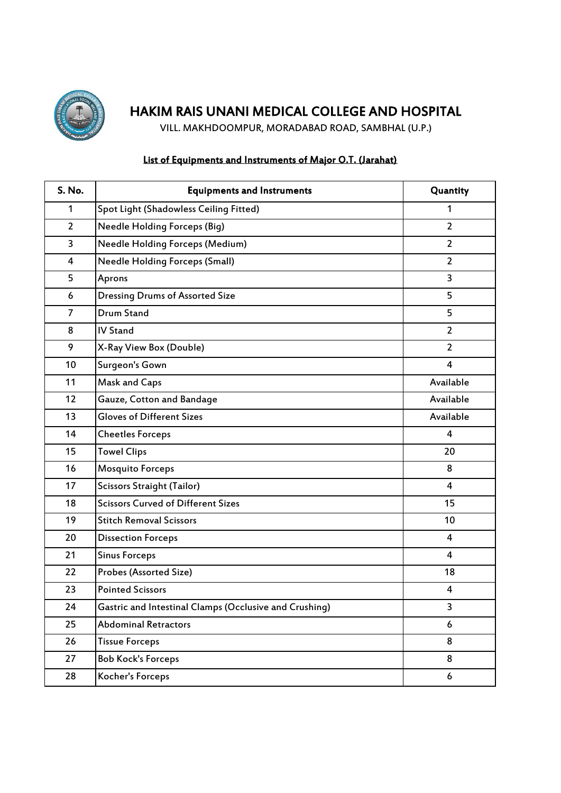

VILL. MAKHDOOMPUR, MORADABAD ROAD, SAMBHAL (U.P.)

### List of Equipments and Instruments of Major O.T. (Jarahat)

| S. No.         | <b>Equipments and Instruments</b>                      | Quantity                |
|----------------|--------------------------------------------------------|-------------------------|
| 1              | Spot Light (Shadowless Ceiling Fitted)                 | 1                       |
| $\overline{2}$ | <b>Needle Holding Forceps (Big)</b>                    | $\overline{2}$          |
| 3              | Needle Holding Forceps (Medium)                        | $\overline{2}$          |
| 4              | <b>Needle Holding Forceps (Small)</b>                  | $\overline{2}$          |
| 5              | Aprons                                                 | 3                       |
| 6              | <b>Dressing Drums of Assorted Size</b>                 | 5                       |
| 7              | <b>Drum Stand</b>                                      | 5                       |
| 8              | <b>IV Stand</b>                                        | $\overline{2}$          |
| 9              | X-Ray View Box (Double)                                | $\overline{2}$          |
| 10             | Surgeon's Gown                                         | $\overline{4}$          |
| 11             | <b>Mask and Caps</b>                                   | Available               |
| 12             | Gauze, Cotton and Bandage                              | Available               |
| 13             | <b>Gloves of Different Sizes</b>                       | Available               |
| 14             | <b>Cheetles Forceps</b>                                | $\overline{\mathbf{4}}$ |
| 15             | <b>Towel Clips</b>                                     | 20                      |
| 16             | <b>Mosquito Forceps</b>                                | 8                       |
| 17             | <b>Scissors Straight (Tailor)</b>                      | $\overline{4}$          |
| 18             | <b>Scissors Curved of Different Sizes</b>              | 15                      |
| 19             | <b>Stitch Removal Scissors</b>                         | 10                      |
| 20             | <b>Dissection Forceps</b>                              | 4                       |
| 21             | <b>Sinus Forceps</b>                                   | $\overline{4}$          |
| 22             | Probes (Assorted Size)                                 | 18                      |
| 23             | <b>Pointed Scissors</b>                                | 4                       |
| 24             | Gastric and Intestinal Clamps (Occlusive and Crushing) | 3                       |
| 25             | <b>Abdominal Retractors</b>                            | 6                       |
| 26             | <b>Tissue Forceps</b>                                  | 8                       |
| 27             | <b>Bob Kock's Forceps</b>                              | 8                       |
| 28             | Kocher's Forceps                                       | 6                       |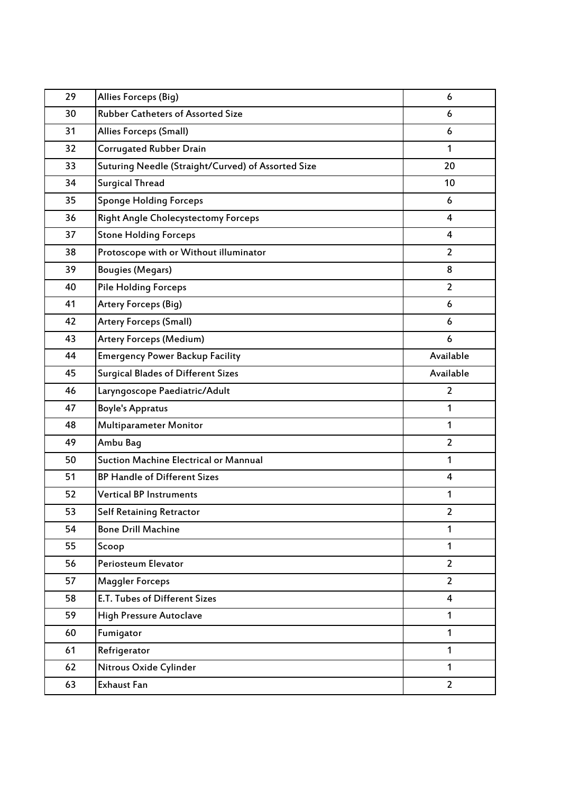| 29 | Allies Forceps (Big)                               | 6              |
|----|----------------------------------------------------|----------------|
| 30 | <b>Rubber Catheters of Assorted Size</b>           | 6              |
| 31 | Allies Forceps (Small)                             | 6              |
| 32 | <b>Corrugated Rubber Drain</b>                     | 1              |
| 33 | Suturing Needle (Straight/Curved) of Assorted Size | 20             |
| 34 | <b>Surgical Thread</b>                             | 10             |
| 35 | <b>Sponge Holding Forceps</b>                      | 6              |
| 36 | <b>Right Angle Cholecystectomy Forceps</b>         | $\overline{4}$ |
| 37 | <b>Stone Holding Forceps</b>                       | 4              |
| 38 | Protoscope with or Without illuminator             | $\overline{2}$ |
| 39 | <b>Bougies (Megars)</b>                            | 8              |
| 40 | <b>Pile Holding Forceps</b>                        | $\overline{2}$ |
| 41 | Artery Forceps (Big)                               | 6              |
| 42 | <b>Artery Forceps (Small)</b>                      | 6              |
| 43 | <b>Artery Forceps (Medium)</b>                     | 6              |
| 44 | <b>Emergency Power Backup Facility</b>             | Available      |
| 45 | <b>Surgical Blades of Different Sizes</b>          | Available      |
| 46 | Laryngoscope Paediatric/Adult                      | $\overline{2}$ |
| 47 | <b>Boyle's Appratus</b>                            | 1              |
| 48 | Multiparameter Monitor                             | 1              |
| 49 | Ambu Bag                                           | $\overline{2}$ |
| 50 | Suction Machine Electrical or Mannual              | 1              |
| 51 | <b>BP Handle of Different Sizes</b>                | 4              |
| 52 | <b>Vertical BP Instruments</b>                     | 1              |
| 53 | Self Retaining Retractor                           | $\overline{2}$ |
| 54 | <b>Bone Drill Machine</b>                          | $\mathbf{1}$   |
| 55 | Scoop                                              | $\mathbf{1}$   |
| 56 | Periosteum Elevator                                | $\overline{2}$ |
| 57 | <b>Maggler Forceps</b>                             | $\overline{2}$ |
| 58 | <b>E.T. Tubes of Different Sizes</b>               | 4              |
| 59 | <b>High Pressure Autoclave</b>                     | $\mathbf{1}$   |
| 60 | Fumigator                                          | $\mathbf{1}$   |
| 61 | Refrigerator                                       | $\mathbf{1}$   |
| 62 | Nitrous Oxide Cylinder                             | 1              |
| 63 | <b>Exhaust Fan</b>                                 | $\overline{2}$ |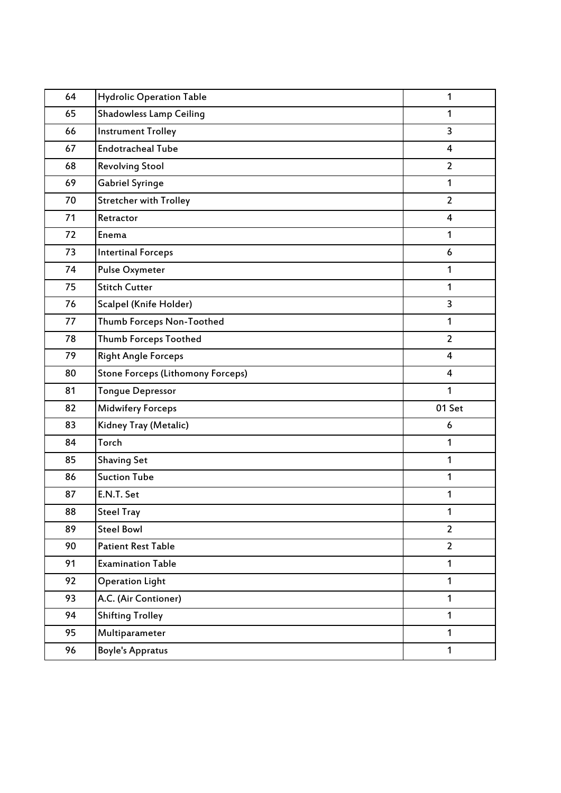| 64 | <b>Hydrolic Operation Table</b>          | 1              |
|----|------------------------------------------|----------------|
| 65 | <b>Shadowless Lamp Ceiling</b>           | 1              |
| 66 | <b>Instrument Trolley</b>                | 3              |
| 67 | <b>Endotracheal Tube</b>                 | 4              |
| 68 | <b>Revolving Stool</b>                   | $\overline{2}$ |
| 69 | Gabriel Syringe                          | 1              |
| 70 | <b>Stretcher with Trolley</b>            | $\overline{2}$ |
| 71 | Retractor                                | 4              |
| 72 | Enema                                    | 1              |
| 73 | <b>Intertinal Forceps</b>                | 6              |
| 74 | Pulse Oxymeter                           | $\mathbf{1}$   |
| 75 | <b>Stitch Cutter</b>                     | 1              |
| 76 | Scalpel (Knife Holder)                   | 3              |
| 77 | Thumb Forceps Non-Toothed                | 1              |
| 78 | <b>Thumb Forceps Toothed</b>             | $\overline{2}$ |
| 79 | <b>Right Angle Forceps</b>               | 4              |
| 80 | <b>Stone Forceps (Lithomony Forceps)</b> | 4              |
| 81 | <b>Tongue Depressor</b>                  | 1              |
| 82 | <b>Midwifery Forceps</b>                 | 01 Set         |
| 83 | Kidney Tray (Metalic)                    | 6              |
| 84 | Torch                                    | 1              |
| 85 | <b>Shaving Set</b>                       | 1              |
| 86 | <b>Suction Tube</b>                      | 1              |
| 87 | E.N.T. Set                               | 1              |
| 88 | <b>Steel Tray</b>                        | 1              |
| 89 | <b>Steel Bowl</b>                        | $\overline{2}$ |
| 90 | <b>Patient Rest Table</b>                | $\overline{2}$ |
| 91 | <b>Examination Table</b>                 | $\mathbf{1}$   |
| 92 | <b>Operation Light</b>                   | $\mathbf{1}$   |
| 93 | A.C. (Air Contioner)                     | $\mathbf{1}$   |
| 94 | <b>Shifting Trolley</b>                  | $\mathbf{1}$   |
| 95 | Multiparameter                           | $\mathbf{1}$   |
| 96 | <b>Boyle's Appratus</b>                  | $\mathbf{1}$   |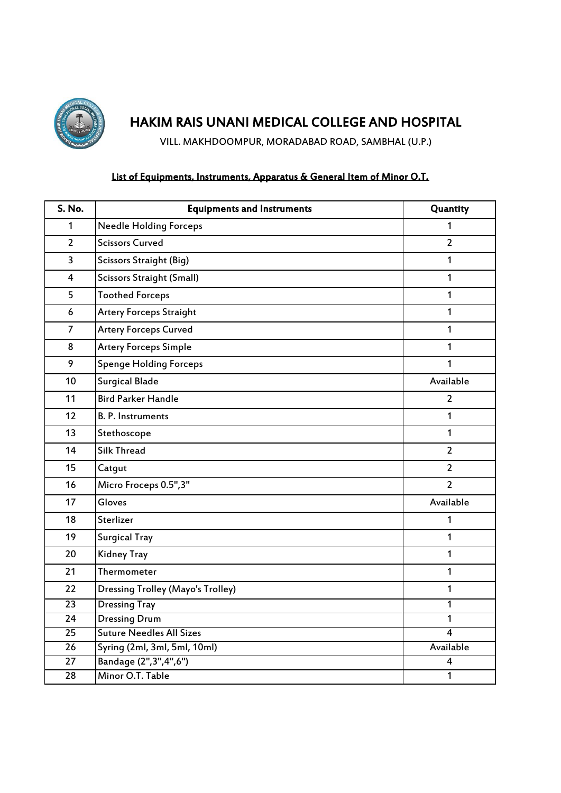

VILL. MAKHDOOMPUR, MORADABAD ROAD, SAMBHAL (U.P.)

### List of Equipments, Instruments, Apparatus & General Item of Minor O.T.

| S. No.         | <b>Equipments and Instruments</b>        | Quantity       |
|----------------|------------------------------------------|----------------|
| 1              | <b>Needle Holding Forceps</b>            | 1              |
| $\overline{2}$ | <b>Scissors Curved</b>                   | $\overline{2}$ |
| 3              | <b>Scissors Straight (Big)</b>           | $\mathbf{1}$   |
| 4              | <b>Scissors Straight (Small)</b>         | $\mathbf{1}$   |
| 5              | <b>Toothed Forceps</b>                   | $\mathbf{1}$   |
| 6              | <b>Artery Forceps Straight</b>           | 1              |
| $\overline{7}$ | <b>Artery Forceps Curved</b>             | $\mathbf{1}$   |
| 8              | <b>Artery Forceps Simple</b>             | 1              |
| 9              | <b>Spenge Holding Forceps</b>            | 1              |
| 10             | <b>Surgical Blade</b>                    | Available      |
| 11             | <b>Bird Parker Handle</b>                | $\overline{2}$ |
| 12             | <b>B. P. Instruments</b>                 | 1              |
| 13             | Stethoscope                              | $\mathbf{1}$   |
| 14             | <b>Silk Thread</b>                       | $\overline{2}$ |
| 15             | Catgut                                   | $\overline{2}$ |
| 16             | Micro Froceps 0.5", 3"                   | $\overline{2}$ |
| 17             | Gloves                                   | Available      |
| 18             | Sterlizer                                | 1              |
| 19             | <b>Surgical Tray</b>                     | $\mathbf{1}$   |
| 20             | <b>Kidney Tray</b>                       | 1              |
| 21             | Thermometer                              | 1              |
| 22             | <b>Dressing Trolley (Mayo's Trolley)</b> | 1              |
| 23             | <b>Dressing Tray</b>                     | $\mathbf{1}$   |
| 24             | <b>Dressing Drum</b>                     | 1              |
| 25             | <b>Suture Needles All Sizes</b>          | 4              |
| 26             | Syring (2ml, 3ml, 5ml, 10ml)             | Available      |
| 27             | Bandage (2", 3", 4", 6")                 | 4              |
| 28             | Minor O.T. Table                         | 1              |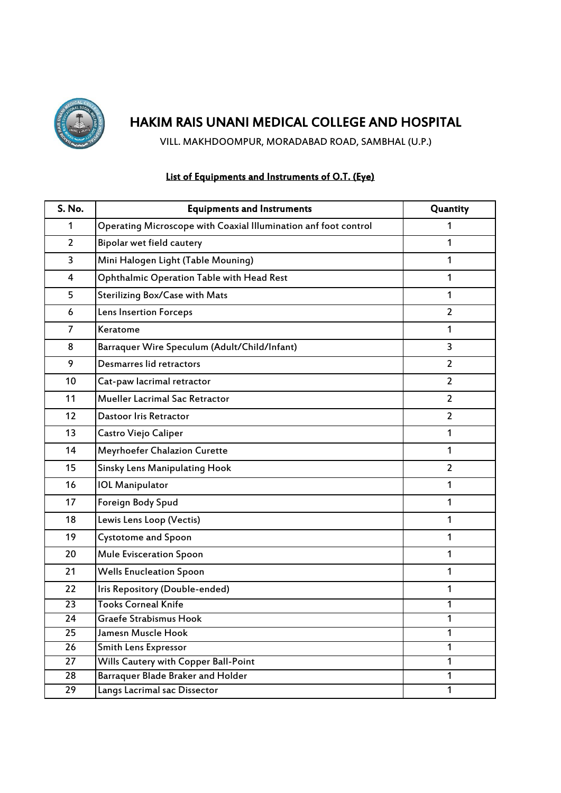

VILL. MAKHDOOMPUR, MORADABAD ROAD, SAMBHAL (U.P.)

| S. No.         | <b>Equipments and Instruments</b>                               | Quantity       |
|----------------|-----------------------------------------------------------------|----------------|
| 1              | Operating Microscope with Coaxial Illumination anf foot control | 1              |
| $\overline{2}$ | Bipolar wet field cautery                                       | 1              |
| 3              | Mini Halogen Light (Table Mouning)                              | 1              |
| 4              | Ophthalmic Operation Table with Head Rest                       | 1              |
| 5              | <b>Sterilizing Box/Case with Mats</b>                           | 1              |
| 6              | Lens Insertion Forceps                                          | $\overline{2}$ |
| $\overline{7}$ | Keratome                                                        | 1              |
| 8              | Barraquer Wire Speculum (Adult/Child/Infant)                    | 3              |
| 9              | Desmarres lid retractors                                        | $\overline{2}$ |
| 10             | Cat-paw lacrimal retractor                                      | $\overline{2}$ |
| 11             | Mueller Lacrimal Sac Retractor                                  | $\overline{2}$ |
| 12             | Dastoor Iris Retractor                                          | $\overline{2}$ |
| 13             | Castro Viejo Caliper                                            | 1              |
| 14             | Meyrhoefer Chalazion Curette                                    | 1              |
| 15             | Sinsky Lens Manipulating Hook                                   | $\overline{2}$ |
| 16             | <b>IOL Manipulator</b>                                          | 1              |
| 17             | Foreign Body Spud                                               | 1              |
| 18             | Lewis Lens Loop (Vectis)                                        | 1              |
| 19             | <b>Cystotome and Spoon</b>                                      | 1              |
| 20             | <b>Mule Evisceration Spoon</b>                                  | 1              |
| 21             | <b>Wells Enucleation Spoon</b>                                  | 1              |
| 22             | Iris Repository (Double-ended)                                  | 1              |
| 23             | <b>Tooks Corneal Knife</b>                                      | 1              |
| 24             | Graefe Strabismus Hook                                          | 1              |
| 25             | Jamesn Muscle Hook                                              | 1              |
| 26             | Smith Lens Expressor                                            | 1              |
| 27             | Wills Cautery with Copper Ball-Point                            | 1              |
| 28             | <b>Barraquer Blade Braker and Holder</b>                        | $\mathbf{1}$   |
| 29             | Langs Lacrimal sac Dissector                                    | 1              |

### List of Equipments and Instruments of O.T. (Eye)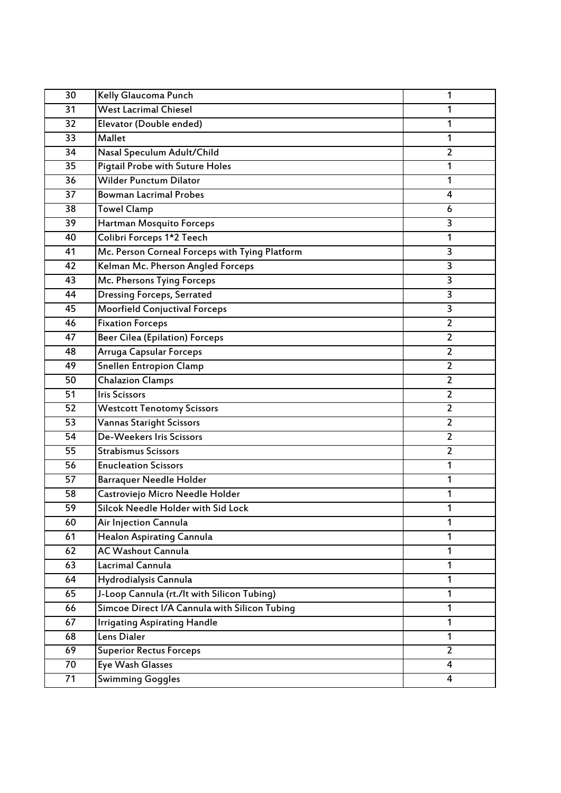| 30 | Kelly Glaucoma Punch                           | 1                       |
|----|------------------------------------------------|-------------------------|
| 31 | <b>West Lacrimal Chiesel</b>                   | 1                       |
| 32 | Elevator (Double ended)                        | 1                       |
| 33 | <b>Mallet</b>                                  | 1                       |
| 34 | Nasal Speculum Adult/Child                     | $\overline{2}$          |
| 35 | Pigtail Probe with Suture Holes                | 1                       |
| 36 | <b>Wilder Punctum Dilator</b>                  | 1                       |
| 37 | <b>Bowman Lacrimal Probes</b>                  | 4                       |
| 38 | <b>Towel Clamp</b>                             | 6                       |
| 39 | Hartman Mosquito Forceps                       | 3                       |
| 40 | Colibri Forceps 1*2 Teech                      | 1                       |
| 41 | Mc. Person Corneal Forceps with Tying Platform | 3                       |
| 42 | Kelman Mc. Pherson Angled Forceps              | 3                       |
| 43 | Mc. Phersons Tying Forceps                     | 3                       |
| 44 | <b>Dressing Forceps, Serrated</b>              | 3                       |
| 45 | <b>Moorfield Conjuctival Forceps</b>           | $\overline{\mathbf{3}}$ |
| 46 | <b>Fixation Forceps</b>                        | $\overline{2}$          |
| 47 | <b>Beer Cilea (Epilation) Forceps</b>          | $\overline{2}$          |
| 48 | Arruga Capsular Forceps                        | $\overline{2}$          |
| 49 | <b>Snellen Entropion Clamp</b>                 | $\overline{2}$          |
| 50 | <b>Chalazion Clamps</b>                        | $\overline{2}$          |
| 51 | <b>Iris Scissors</b>                           | $\overline{2}$          |
| 52 | <b>Westcott Tenotomy Scissors</b>              | $\overline{2}$          |
| 53 | <b>Vannas Staright Scissors</b>                | $\overline{2}$          |
| 54 | De-Weekers Iris Scissors                       |                         |
|    |                                                | $\overline{2}$          |
| 55 | <b>Strabismus Scissors</b>                     | $\overline{2}$          |
| 56 | <b>Enucleation Scissors</b>                    | 1                       |
| 57 | <b>Barraquer Needle Holder</b>                 | 1                       |
| 58 | Castroviejo Micro Needle Holder                | 1                       |
| 59 | Silcok Needle Holder with Sid Lock             | 1                       |
| 60 | Air Injection Cannula                          | 1                       |
| 61 | Healon Aspirating Cannula                      | 1                       |
| 62 | <b>AC Washout Cannula</b>                      | $\mathbf{1}$            |
| 63 | Lacrimal Cannula                               | 1                       |
| 64 | Hydrodialysis Cannula                          | $\mathbf{1}$            |
| 65 | J-Loop Cannula (rt./It with Silicon Tubing)    | $\mathbf{1}$            |
| 66 | Simcoe Direct I/A Cannula with Silicon Tubing  | $\mathbf{1}$            |
| 67 | <b>Irrigating Aspirating Handle</b>            | 1                       |
| 68 | Lens Dialer                                    | $\mathbf{1}$            |
| 69 | <b>Superior Rectus Forceps</b>                 | $\overline{2}$          |
| 70 | Eye Wash Glasses<br><b>Swimming Goggles</b>    | 4                       |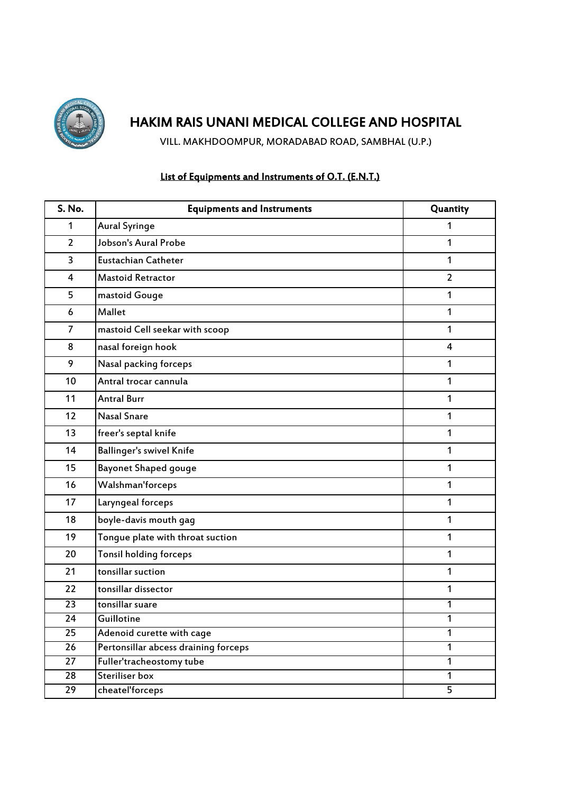

VILL. MAKHDOOMPUR, MORADABAD ROAD, SAMBHAL (U.P.)

### List of Equipments and Instruments of O.T. (E.N.T.)

| S. No.         | <b>Equipments and Instruments</b>    | Quantity       |
|----------------|--------------------------------------|----------------|
| 1              | <b>Aural Syringe</b>                 | 1              |
| $\overline{2}$ | Jobson's Aural Probe                 | 1              |
| 3              | <b>Eustachian Catheter</b>           | $\mathbf{1}$   |
| 4              | <b>Mastoid Retractor</b>             | $\overline{2}$ |
| 5              | mastoid Gouge                        | 1              |
| 6              | Mallet                               | 1              |
| $\overline{7}$ | mastoid Cell seekar with scoop       | 1              |
| 8              | nasal foreign hook                   | 4              |
| 9              | Nasal packing forceps                | 1              |
| 10             | Antral trocar cannula                | 1              |
| 11             | <b>Antral Burr</b>                   | 1              |
| 12             | <b>Nasal Snare</b>                   | 1              |
| 13             | freer's septal knife                 | 1              |
| 14             | <b>Ballinger's swivel Knife</b>      | 1              |
| 15             | <b>Bayonet Shaped gouge</b>          | 1              |
| 16             | Walshman'forceps                     | 1              |
| 17             | Laryngeal forceps                    | 1              |
| 18             | boyle-davis mouth gag                | 1              |
| 19             | Tongue plate with throat suction     | 1              |
| 20             | <b>Tonsil holding forceps</b>        | 1              |
| 21             | tonsillar suction                    | 1              |
| 22             | tonsillar dissector                  | 1              |
| 23             | tonsillar suare                      | 1              |
| 24             | Guillotine                           | 1              |
| 25             | Adenoid curette with cage            | $\mathbf{1}$   |
| 26             | Pertonsillar abcess draining forceps | $\mathbf{1}$   |
| 27             | Fuller'tracheostomy tube             | $\mathbf{1}$   |
| 28             | <b>Steriliser box</b>                | $\mathbf{1}$   |
| 29             | cheatel'forceps                      | 5              |